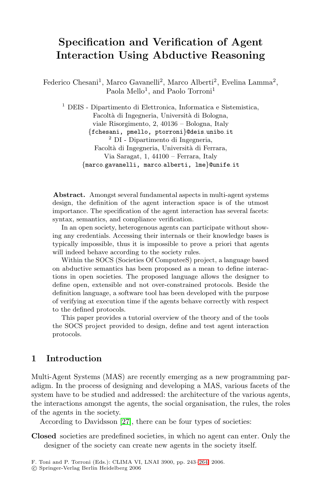# **Specification and Verification of Agent Interaction Using Abductive Reasoning**

Federico Chesani<sup>1</sup>, Marco Gavanelli<sup>2</sup>, Marco Alberti<sup>2</sup>, Evelina Lamma<sup>2</sup>, Paola Mello<sup>1</sup>, and Paolo Torroni<sup>1</sup>

<sup>1</sup> DEIS - Dipartimento di Elettronica, Informatica e Sistemistica, Facolt`a di Ingegneria, Universit`a di Bologna, viale Risorgimento, 2, 40136 – Bologna, Italy {fchesani, pmello, ptorroni}@deis·unibo·it <sup>2</sup> DI - Dipartimento di Ingegneria, Facolt`a di Ingegneria, Universit`a di Ferrara, Via Saragat, 1, 44100 – Ferrara, Italy {marco·gavanelli, marco·alberti, lme}@unife·it

**Abstract.** Amongst several fundamental aspects in multi-agent systems design, the definition of the agent interaction space is of the utmost importance. The specification of the agent interaction has several facets: syntax, semantics, and compliance verification.

In an open society, heterogenous agents can participate without showing any credentials. Accessing their internals or their knowledge bases is typically impossible, thus it is impossible to prove a priori that agents will indeed behave according to the society rules.

Within the SOCS (Societies Of ComputeeS) project, a language based on abductive semantics has been proposed as a mean to define interactions in open societies. The proposed language allows the designer to define open, extensible and not over-constrained protocols. Beside the definition language, a software tool has been developed with the purpose of verifying at execution time if the agents behave correctly with respect to the defined protocols.

This paper provides a tutorial overview of the theory and of the tools the SOCS project provided to design, define and test agent interaction protocols.

## **1 Introduction**

Multi-Agent Systems (MAS) are recently emerging as a new programming paradigm. In the process of designing and developing a MAS, various facets of the system have to be studied and addressed: the architecture of the various agents, the interactions amongst the agents, the social organisation, the rules, the roles of the agents in the society.

According to Davidsson [\[27\]](#page-19-0), there can be four types of societies:

**Closed** societies are predefined societies, in which no agent can enter. Only the designer of the society can create new agents in the society itself.

<sup>-</sup>c Springer-Verlag Berlin Heidelberg 2006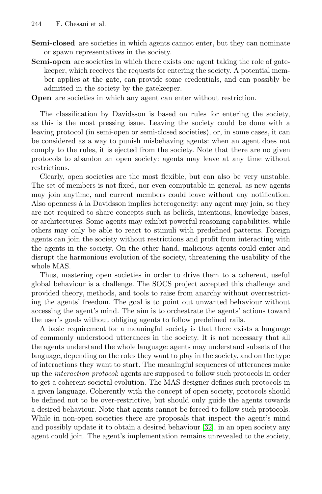- **Semi-closed** are societies in which agents cannot enter, but they can nominate or spawn representatives in the society.
- **Semi-open** are societies in which there exists one agent taking the role of gatekeeper, which receives the requests for entering the society. A potential member applies at the gate, can provide some credentials, and can possibly be admitted in the society by the gatekeeper.

**Open** are societies in which any agent can enter without restriction.

The classification by Davidsson is based on rules for entering the society, as this is the most pressing issue. Leaving the society could be done with a leaving protocol (in semi-open or semi-closed societies), or, in some cases, it can be considered as a way to punish misbehaving agents: when an agent does not comply to the rules, it is ejected from the society. Note that there are no given protocols to abandon an open society: agents may leave at any time without restrictions.

Clearly, open societies are the most flexible, but can also be very unstable. The set of members is not fixed, nor even computable in general, as new agents may join anytime, and current members could leave without any notification. Also openness à la Davidsson implies heterogeneity: any agent may join, so they are not required to share concepts such as beliefs, intentions, knowledge bases, or architectures. Some agents may exhibit powerful reasoning capabilities, while others may only be able to react to stimuli with predefined patterns. Foreign agents can join the society without restrictions and profit from interacting with the agents in the society. On the other hand, malicious agents could enter and disrupt the harmonious evolution of the society, threatening the usability of the whole MAS.

Thus, mastering open societies in order to drive them to a coherent, useful global behaviour is a challenge. The SOCS project accepted this challenge and provided theory, methods, and tools to raise from anarchy without overrestricting the agents' freedom. The goal is to point out unwanted behaviour without accessing the agent's mind. The aim is to orchestrate the agents' actions toward the user's goals without obliging agents to follow predefined rails.

A basic requirement for a meaningful society is that there exists a language of commonly understood utterances in the society. It is not necessary that all the agents understand the whole language: agents may understand subsets of the language, depending on the roles they want to play in the society, and on the type of interactions they want to start. The meaningful sequences of utterances make up the interaction protocol: agents are supposed to follow such protocols in order to get a coherent societal evolution. The MAS designer defines such protocols in a given language. Coherently with the concept of open society, protocols should be defined not to be over-restrictive, but should only guide the agents towards a desired behaviour. Note that agents cannot be forced to follow such protocols. While in non-open societies there are proposals that inspect the agent's mind and possibly update it to obtain a desired behaviour [\[32\]](#page-20-0), in an open society any agent could join. The agent's implementation remains unrevealed to the society,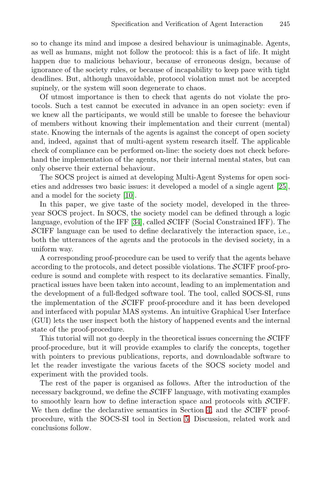so to change its mind and impose a desired behaviour is unimaginable. Agents, as well as humans, might not follow the protocol: this is a fact of life. It might happen due to malicious behaviour, because of erroneous design, because of ignorance of the society rules, or because of incapability to keep pace with tight deadlines. But, although unavoidable, protocol violation must not be accepted supinely, or the system will soon degenerate to chaos.

Of utmost importance is then to check that agents do not violate the protocols. Such a test cannot be executed in advance in an open society: even if we knew all the participants, we would still be unable to foresee the behaviour of members without knowing their implementation and their current (mental) state. Knowing the internals of the agents is against the concept of open society and, indeed, against that of multi-agent system research itself. The applicable check of compliance can be performed on-line: the society does not check beforehand the implementation of the agents, nor their internal mental states, but can only observe their external behaviour.

The SOCS project is aimed at developing Multi-Agent Systems for open societies and addresses two basic issues: it developed a model of a single agent [\[25\]](#page-19-1), and a model for the society [\[10\]](#page-18-1).

In this paper, we give taste of the society model, developed in the threeyear SOCS project. In SOCS, the society model can be defined through a logic language, evolution of the IFF [\[34\]](#page-20-1), called  $\mathcal{S}$ CIFF (Social Constrained IFF). The SCIFF language can be used to define declaratively the interaction space, i.e., both the utterances of the agents and the protocols in the devised society, in a uniform way.

A corresponding proof-procedure can be used to verify that the agents behave according to the protocols, and detect possible violations. The SCIFF proof-procedure is sound and complete with respect to its declarative semantics. Finally, practical issues have been taken into account, leading to an implementation and the development of a full-fledged software tool. The tool, called SOCS-SI, runs the implementation of the SCIFF proof-procedure and it has been developed and interfaced with popular MAS systems. An intuitive Graphical User Interface (GUI) lets the user inspect both the history of happened events and the internal state of the proof-procedure.

This tutorial will not go deeply in the theoretical issues concerning the SCIFF proof-procedure, but it will provide examples to clarify the concepts, together with pointers to previous publications, reports, and downloadable software to let the reader investigate the various facets of the SOCS society model and experiment with the provided tools.

The rest of the paper is organised as follows. After the introduction of the necessary background, we define the SCIFF language, with motivating examples to smoothly learn how to define interaction space and protocols with SCIFF. We then define the declarative semantics in Section [4,](#page-12-0) and the  $\mathcal{SCIFF}$  proofprocedure, with the SOCS-SI tool in Section [5.](#page-13-0) Discussion, related work and conclusions follow.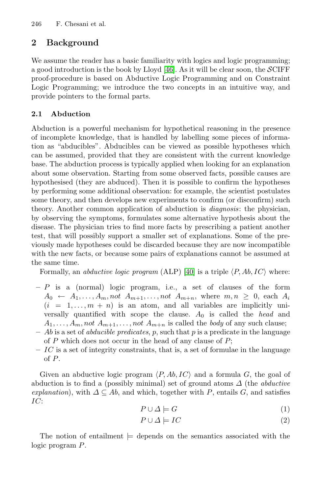## **2 Background**

We assume the reader has a basic familiarity with logics and logic programming; a good introduction is the book by Lloyd [\[46\]](#page-20-2). As it will be clear soon, the  $\mathcal{S}ClFF$ proof-procedure is based on Abductive Logic Programming and on Constraint Logic Programming; we introduce the two concepts in an intuitive way, and provide pointers to the formal parts.

## <span id="page-3-1"></span>**2.1 Abduction**

Abduction is a powerful mechanism for hypothetical reasoning in the presence of incomplete knowledge, that is handled by labelling some pieces of information as "abducibles". Abducibles can be viewed as possible hypotheses which can be assumed, provided that they are consistent with the current knowledge base. The abduction process is typically applied when looking for an explanation about some observation. Starting from some observed facts, possible causes are hypothesised (they are abduced). Then it is possible to confirm the hypotheses by performing some additional observation: for example, the scientist postulates some theory, and then develops new experiments to confirm (or disconfirm) such theory. Another common application of abduction is *diagnosis*: the physician, by observing the symptoms, formulates some alternative hypothesis about the disease. The physician tries to find more facts by prescribing a patient another test, that will possibly support a smaller set of explanations. Some of the previously made hypotheses could be discarded because they are now incompatible with the new facts, or because some pairs of explanations cannot be assumed at the same time.

Formally, an *abductive logic program* (ALP) [\[40\]](#page-20-3) is a triple  $\langle P, Ab, IC \rangle$  where:

- **–** P is a (normal) logic program, i.e., a set of clauses of the form  $A_0 \leftarrow A_1, \ldots, A_m, not A_{m+1}, \ldots, not A_{m+n}$ , where  $m, n \geq 0$ , each  $A_i$  $(i = 1, \ldots, m + n)$  is an atom, and all variables are implicitly universally quantified with scope the clause.  $A_0$  is called the head and  $A_1, \ldots, A_m$ , not  $A_{m+1}, \ldots, \text{not } A_{m+n}$  is called the body of any such clause;
- **–** Ab is a set of abducible predicates, p, such that p is a predicate in the language of  $P$  which does not occur in the head of any clause of  $P$ ;
- **–** IC is a set of integrity constraints, that is, a set of formulae in the language of P.

Given an abductive logic program  $\langle P, Ab, IC \rangle$  and a formula G, the goal of abduction is to find a (possibly minimal) set of ground atoms  $\Delta$  (the *abductive* explanation), with  $\Delta \subseteq Ab$ , and which, together with P, entails G, and satisfies IC:

<span id="page-3-0"></span>
$$
P \cup \Delta \models G \tag{1}
$$

$$
P \cup \Delta \models IC \tag{2}
$$

The notion of entailment  $\models$  depends on the semantics associated with the logic program P.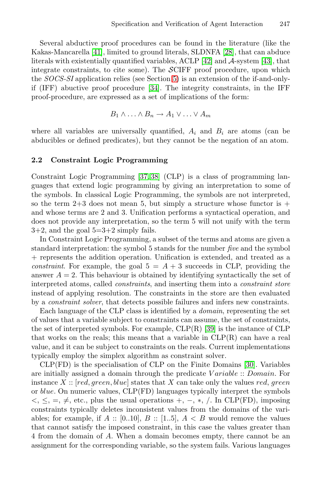Several abductive proof procedures can be found in the literature (like the Kakas-Mancarella [\[41\]](#page-20-4), limited to ground literals, SLDNFA [\[28\]](#page-19-2), that can abduce literals with existentially quantified variables, ACLP [\[42\]](#page-20-5) and A-system [\[43\]](#page-20-6), that integrate constraints, to cite some). The SCIFF proof procedure, upon which the SOCS-SI application relies (see Section [5\)](#page-13-0) is an extension of the if-and-onlyif (IFF) abuctive proof procedure [\[34\]](#page-20-1). The integrity constraints, in the IFF proof-procedure, are expressed as a set of implications of the form:

$$
B_1 \wedge \ldots \wedge B_n \to A_1 \vee \ldots \vee A_m
$$

where all variables are universally quantified,  $A_i$  and  $B_i$  are atoms (can be abducibles or defined predicates), but they cannot be the negation of an atom.

#### **2.2 Constraint Logic Programming**

Constraint Logic Programming [\[37,](#page-20-7) [38\]](#page-20-8) (CLP) is a class of programming languages that extend logic programming by giving an interpretation to some of the symbols. In classical Logic Programming, the symbols are not interpreted, so the term  $2+3$  does not mean 5, but simply a structure whose functor is  $+$ and whose terms are 2 and 3. Unification performs a syntactical operation, and does not provide any interpretation, so the term 5 will not unify with the term  $3+2$ , and the goal  $5=3+2$  simply fails.

In Constraint Logic Programming, a subset of the terms and atoms are given a standard interpretation: the symbol 5 stands for the number five and the symbol + represents the addition operation. Unification is extended, and treated as a *constraint.* For example, the goal  $5 = A + 3$  succeeds in CLP, providing the answer  $A = 2$ . This behaviour is obtained by identifying syntactically the set of interpreted atoms, called constraints, and inserting them into a constraint store instead of applying resolution. The constraints in the store are then evaluated by a constraint solver, that detects possible failures and infers new constraints.

Each language of the CLP class is identified by a domain, representing the set of values that a variable subject to constraints can assume, the set of constraints, the set of interpreted symbols. For example,  $CLP(R)$  [\[39\]](#page-20-9) is the instance of  $CLP$ that works on the reals; this means that a variable in  $CLP(R)$  can have a real value, and it can be subject to constraints on the reals. Current implementations typically employ the simplex algorithm as constraint solver.

CLP(FD) is the specialisation of CLP on the Finite Domains [\[30\]](#page-20-10). Variables are initially assigned a domain through the predicate Variable :: Domain. For instance X :: [red, green, blue] states that X can take only the values red, green or blue. On numeric values, CLP(FD) languages typically interpret the symbols  $\langle \xi, \xi, \xi, \xi, \xi \rangle$ , etc., plus the usual operations  $+$ ,  $-$ ,  $*$ ,  $\angle$ . In CLP(FD), imposing constraints typically deletes inconsistent values from the domains of the variables; for example, if  $A$  :: [0..10],  $B$  :: [1..5],  $A \leq B$  would remove the values that cannot satisfy the imposed constraint, in this case the values greater than 4 from the domain of A. When a domain becomes empty, there cannot be an assignment for the corresponding variable, so the system fails. Various languages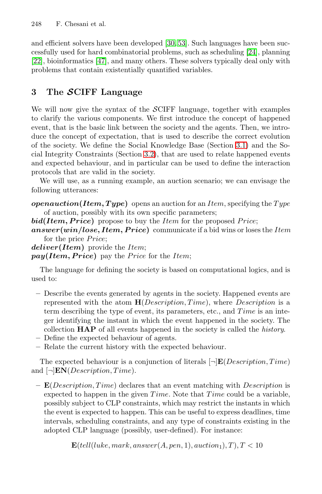and efficient solvers have been developed [\[30,](#page-20-10) [53\]](#page-21-0). Such languages have been successfully used for hard combinatorial problems, such as scheduling [\[24\]](#page-19-3), planning [\[22\]](#page-19-4), bioinformatics [\[47\]](#page-20-11), and many others. These solvers typically deal only with problems that contain existentially quantified variables.

## **3 The** *S***CIFF Language**

We will now give the syntax of the SCIFF language, together with examples to clarify the various components. We first introduce the concept of happened event, that is the basic link between the society and the agents. Then, we introduce the concept of expectation, that is used to describe the correct evolution of the society. We define the Social Knowledge Base (Section [3.1\)](#page-6-0) and the Social Integrity Constraints (Section [3.2\)](#page-7-0), that are used to relate happened events and expected behaviour, and in particular can be used to define the interaction protocols that are valid in the society.

We will use, as a running example, an auction scenario; we can envisage the following utterances:

*openauction* (*Item, Type*) opens an auction for an *Item,* specifying the Type of auction, possibly with its own specific parameters;

*bid***(***Item, Price***)** propose to buy the Item for the proposed Price;

*answer***(***win/lose, Item, Price***)** communicate if a bid wins or loses the Item for the price *Price*;

*deliver***(***Item***)** provide the Item;

*pay***(***Item, Price***)** pay the Price for the Item;

The language for defining the society is based on computational logics, and is used to:

- **–** Describe the events generated by agents in the society. Happened events are represented with the atom **H**(Description, Time), where Description is a term describing the type of event, its parameters, etc., and Time is an integer identifying the instant in which the event happened in the society. The collection **HAP** of all events happened in the society is called the history.
- **–** Define the expected behaviour of agents.
- **–** Relate the current history with the expected behaviour.

The expected behaviour is a conjunction of literals  $\neg$ **E**(*Description, Time*) and  $\neg$ **EN**(*Description, Time*).

**– E**(Description, Time) declares that an event matching with Description is expected to happen in the given  $Time$ . Note that  $Time$  could be a variable, possibly subject to CLP constraints, which may restrict the instants in which the event is expected to happen. This can be useful to express deadlines, time intervals, scheduling constraints, and any type of constraints existing in the adopted CLP language (possibly, user-defined). For instance:

```
\mathbf{E}(tell(luke, mark, answer(A, pen, 1), auction_1), T, T < 10
```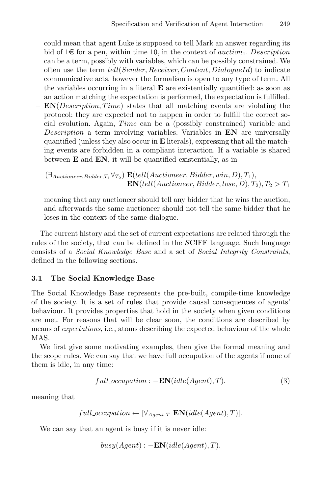could mean that agent Luke is supposed to tell Mark an answer regarding its bid of  $1 \in$  for a pen, within time 10, in the context of *auction*<sub>1</sub>. Description can be a term, possibly with variables, which can be possibly constrained. We often use the term tell(Sender, Receiver, Content, DialogueId) to indicate communicative acts, however the formalism is open to any type of term. All the variables occurring in a literal **E** are existentially quantified: as soon as an action matching the expectation is performed, the expectation is fulfilled.

**– EN**(Description, Time) states that all matching events are violating the protocol: they are expected not to happen in order to fulfill the correct social evolution. Again, Time can be a (possibly constrained) variable and Description a term involving variables. Variables in **EN** are universally quantified (unless they also occur in **E** literals), expressing that all the matching events are forbidden in a compliant interaction. If a variable is shared between **E** and **EN**, it will be quantified existentially, as in

 $(\exists_{Aut \text{ioneer}, \text{Bidder}, T_1} \forall_{T_2}) \mathbf{E} (tell(Auctioneer, Bidder, win, D), T_1),$ **EN**(tell(Auctioneer, Bidder, lose, D),  $T_2$ ),  $T_2 > T_1$ 

meaning that any auctioneer should tell any bidder that he wins the auction, and afterwards the same auctioneer should not tell the same bidder that he loses in the context of the same dialogue.

The current history and the set of current expectations are related through the rules of the society, that can be defined in the  $\mathcal{SCIFF}$  language. Such language consists of a Social Knowledge Base and a set of Social Integrity Constraints, defined in the following sections.

#### <span id="page-6-0"></span>**3.1 The Social Knowledge Base**

The Social Knowledge Base represents the pre-built, compile-time knowledge of the society. It is a set of rules that provide causal consequences of agents' behaviour. It provides properties that hold in the society when given conditions are met. For reasons that will be clear soon, the conditions are described by means of expectations, i.e., atoms describing the expected behaviour of the whole MAS.

We first give some motivating examples, then give the formal meaning and the scope rules. We can say that we have full occupation of the agents if none of them is idle, in any time:

$$
full\_occupation: - \mathbf{EN}(idle(Agent), T). \tag{3}
$$

<span id="page-6-1"></span>meaning that

$$
full\_occupation \leftarrow [\forall_{Agent,T} \ \mathbf{EN}(idle(Agent),T)].
$$

We can say that an agent is busy if it is never idle:

$$
busy(Agent) : -EN(idle(Agent), T).
$$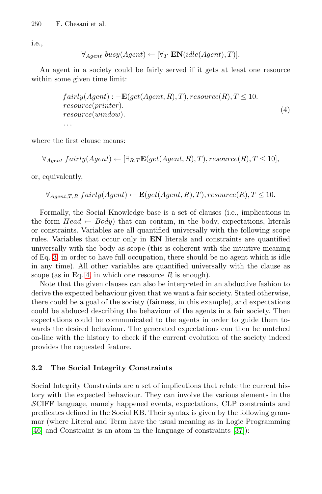i.e.,

$$
\forall_{Agent} \ busy(Agent) \leftarrow [\forall_T \ \mathbf{EN}(idle(Agent), T)].
$$

An agent in a society could be fairly served if it gets at least one resource within some given time limit:

$$
fairly(Agent) : -\mathbf{E}(get(Agent, R), T), resource(R), T \le 10.
$$
  

$$
resource(printer).
$$
  
(4)  
resource(window).

<span id="page-7-1"></span>where the first clause means:

$$
\forall_{Agent} \; fairly(Agent) \leftarrow [\exists_{R,T} \mathbf{E}(get(Agent, R), T), resource(R), T \le 10],
$$

or, equivalently,

$$
\forall_{Agent,T,R} \; fairly(Agent) \leftarrow \mathbf{E}(get(Agent,R),T), resource(R), T \leq 10.
$$

Formally, the Social Knowledge base is a set of clauses (i.e., implications in the form  $Head \leftarrow Body$ ) that can contain, in the body, expectations, literals or constraints. Variables are all quantified universally with the following scope rules. Variables that occur only in **EN** literals and constraints are quantified universally with the body as scope (this is coherent with the intuitive meaning of Eq. [3:](#page-6-1) in order to have full occupation, there should be no agent which is idle in any time). All other variables are quantified universally with the clause as scope (as in Eq. [4,](#page-7-1) in which one resource R is enough).

Note that the given clauses can also be interpreted in an abductive fashion to derive the expected behaviour given that we want a fair society. Stated otherwise, there could be a goal of the society (fairness, in this example), and expectations could be abduced describing the behaviour of the agents in a fair society. Then expectations could be communicated to the agents in order to guide them towards the desired behaviour. The generated expectations can then be matched on-line with the history to check if the current evolution of the society indeed provides the requested feature.

#### <span id="page-7-0"></span>**3.2 The Social Integrity Constraints**

Social Integrity Constraints are a set of implications that relate the current history with the expected behaviour. They can involve the various elements in the SCIFF language, namely happened events, expectations, CLP constraints and predicates defined in the Social KB. Their syntax is given by the following grammar (where Literal and Term have the usual meaning as in Logic Programming [\[46\]](#page-20-2) and Constraint is an atom in the language of constraints [\[37\]](#page-20-7)):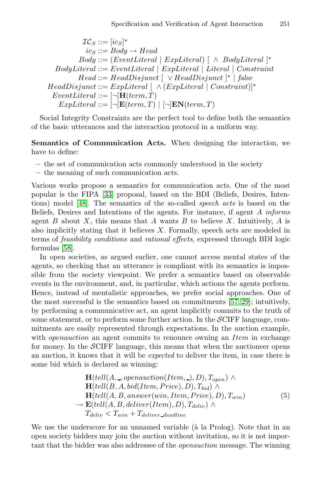$$
\begin{array}{rl} {\cal IC}_S ::= [ic_S]^{\star} \\ & i c_S ::= Body \rightarrow Head \\ & Body ::= (EventLiteral \mid ExpLiteral) \mid \wedge BodyLiteral \mid ^{\star} \\ BodyLiteral ::= EventLiteral \mid ExpLiteral \mid Literal \mid Constant \\ Head ::= HeadDisjunct \mid \vee HeadDisjunct \mid ^{\star} \mid false \\ HeadDisjunct ::= ExpLiteral \mid \wedge (ExpLiteral \mid Constant)]^{\star} \\ EventLiteral ::= [\neg] {\bf H}(term, T) \\ ExpLiteral ::= [\neg] {\bf E}(term, T) \mid [\neg] {\bf EN}(term, T) \end{array}
$$

Social Integrity Constraints are the perfect tool to define both the semantics of the basic utterances and the interaction protocol in a uniform way.

**Semantics of Communication Acts.** When designing the interaction, we have to define:

- **–** the set of communication acts commonly understood in the society
- **–** the meaning of such communication acts.

Various works propose a semantics for communication acts. One of the most popular is the FIPA [\[33\]](#page-20-12) proposal, based on the BDI (Beliefs, Desires, Intentions) model [\[48\]](#page-20-13). The semantics of the so-called speech acts is based on the Beliefs, Desires and Intentions of the agents. For instance, if agent A informs agent B about X, this means that A wants B to believe X. Intuitively, A is also implicitly stating that it believes  $X$ . Formally, speech acts are modeled in terms of feasibility conditions and rational effects, expressed through BDI logic formulas [\[58\]](#page-21-1).

In open societies, as argued earlier, one cannot access mental states of the agents, so checking that an utterance is compliant with its semantics is impossible from the society viewpoint. We prefer a semantics based on observable events in the environment, and, in particular, which actions the agents perform. Hence, instead of mentalistic approaches, we prefer social approaches. One of the most successful is the semantics based on commitments [\[57,](#page-21-2) [29\]](#page-19-5); intuitively, by performing a communicative act, an agent implicitly commits to the truth of some statement, or to perform some further action. In the SCIFF language, commitments are easily represented through expectations. In the auction example, with *openauction* an agent commits to renounce owning an *Item* in exchange for money. In the SCIFF language, this means that when the auctioneer opens an auction, it knows that it will be expected to deliver the item, in case there is some bid which is declared as winning:

$$
\mathbf{H}(tell(A, \_, operation(Item, \_), D), T_{open}) \land \n\mathbf{H}(tell(B, A, bid(Item, Price), D), T_{bid}) \land \n\mathbf{H}(tell(A, B, answer(win, Item, Price), D), T_{win}) \n\rightarrow \mathbf{E}( tell(A, B, deliver(Item), D), T_{deliv}) \land \nT_{deliv} < T_{win} + T_{deliver\_deadline}
$$
\n(5)

<span id="page-8-0"></span>We use the underscore for an unnamed variable  $(\hat{a} \text{ la Prolog})$ . Note that in an open society bidders may join the auction without invitation, so it is not important that the bidder was also addressee of the openauction message. The winning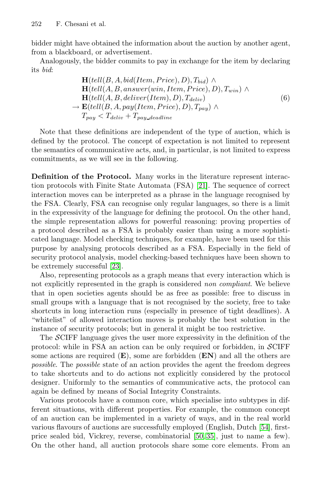bidder might have obtained the information about the auction by another agent, from a blackboard, or advertisement.

Analogously, the bidder commits to pay in exchange for the item by declaring its bid:

$$
\mathbf{H}(tell(B, A, bid(Item, Price), D), T_{bid}) \wedge \n\mathbf{H}(tell(A, B, answer(win, Item, Price), D), T_{win}) \wedge \n\mathbf{H}(tell(A, B, deliver(Item), D), T_{deliv}) \n\rightarrow \mathbf{E}(tell(B, A, pay(Item, Price), D), T_{pay}) \wedge \nT_{pay} < T_{deliv} + T_{pay\_dedline}
$$
\n(6)

<span id="page-9-0"></span>Note that these definitions are independent of the type of auction, which is defined by the protocol. The concept of expectation is not limited to represent the semantics of communicative acts, and, in particular, is not limited to express commitments, as we will see in the following.

**Definition of the Protocol.** Many works in the literature represent interaction protocols with Finite State Automata (FSA) [\[21\]](#page-19-6). The sequence of correct interaction moves can be interpreted as a phrase in the language recognised by the FSA. Clearly, FSA can recognise only regular languages, so there is a limit in the expressivity of the language for defining the protocol. On the other hand, the simple representation allows for powerful reasoning: proving properties of a protocol described as a FSA is probably easier than using a more sophisticated language. Model checking techniques, for example, have been used for this purpose by analysing protocols described as a FSA. Especially in the field of security protocol analysis, model checking-based techniques have been shown to be extremely successful [\[23\]](#page-19-7).

Also, representing protocols as a graph means that every interaction which is not explicitly represented in the graph is considered non compliant. We believe that in open societies agents should be as free as possible: free to discuss in small groups with a language that is not recognised by the society, free to take shortcuts in long interaction runs (especially in presence of tight deadlines). A "whitelist" of allowed interaction moves is probably the best solution in the instance of security protocols; but in general it might be too restrictive.

The SCIFF language gives the user more expressivity in the definition of the protocol: while in FSA an action can be only required or forbidden, in SCIFF some actions are required (**E**), some are forbidden (**EN**) and all the others are possible. The possible state of an action provides the agent the freedom degrees to take shortcuts and to do actions not explicitly considered by the protocol designer. Uniformly to the semantics of communicative acts, the protocol can again be defined by means of Social Integrity Constraints.

Various protocols have a common core, which specialise into subtypes in different situations, with different properties. For example, the common concept of an auction can be implemented in a variety of ways, and in the real world various flavours of auctions are successfully employed (English, Dutch [\[54\]](#page-21-3), firstprice sealed bid, Vickrey, reverse, combinatorial [\[50,](#page-21-4) [35\]](#page-20-14), just to name a few). On the other hand, all auction protocols share some core elements. From an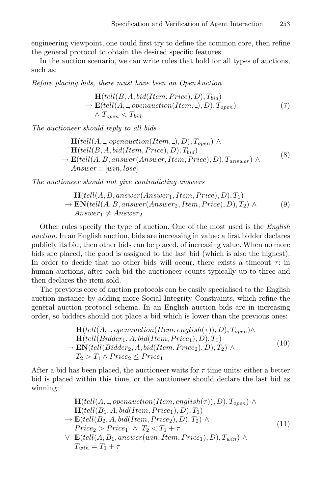engineering viewpoint, one could first try to define the common core, then refine the general protocol to obtain the desired specific features.

In the auction scenario, we can write rules that hold for all types of auctions, such as:

<span id="page-10-0"></span>Before placing bids, there must have been an OpenAuction

$$
\mathbf{H}(tell(B, A, bid(Item, Price), D), T_{bid})
$$
  
\n
$$
\rightarrow \mathbf{E}(tell(A, \_, operation(Item, \_), D), T_{open})
$$
  
\n
$$
\land T_{open} < T_{bid}
$$
\n(7)

The auctioneer should reply to all bids

$$
\mathbf{H}(tell(A, -, operation(Item, -), D), T_{open}) \land \n\mathbf{H}(tell(B, A, bid(Item, Price), D), T_{bid}) \n\rightarrow \mathbf{E}(tell(A, B, answer(Answer, Item, Price), D), T_{answer}) \land \nAnswer :: [win, lose]
$$
\n(8)

<span id="page-10-1"></span>The auctioneer should not give contradicting answers

$$
\mathbf{H}(tell(A, B, answer(Answer_1, Item, Price), D), T_1)
$$
  
\n
$$
\rightarrow \mathbf{EN}(tell(A, B, answer(Answer_2, Item, Price), D), T_2) \land (9)
$$
  
\n
$$
Answer_1 \neq Answer_2
$$

Other rules specify the type of auction. One of the most used is the English auction. In an English auction, bids are increasing in value: a first bidder declares publicly its bid, then other bids can be placed, of increasing value. When no more bids are placed, the good is assigned to the last bid (which is also the highest). In order to decide that no other bids will occur, there exists a timeout  $\tau$ : in human auctions, after each bid the auctioneer counts typically up to three and then declares the item sold.

The previous core of auction protocols can be easily specialised to the English auction instance by adding more Social Integrity Constraints, which refine the general auction protocol schema. In an English auction bids are in increasing order, so bidders should not place a bid which is lower than the previous ones:

$$
\mathbf{H}(tell(A, \_, operation(Item, English(\tau)), D), T_{open}) \land \n\mathbf{H}(tell(Bidder_1, A, bid(Item, Price_1), D), T_1) \n\rightarrow \mathbf{EN}(tell(Bidder_2, A, bid(Item, Price_2), D), T_2) \land \nT_2 > T_1 \land Price_2 \le Price_1
$$
\n(10)

After a bid has been placed, the auctioneer waits for  $\tau$  time units; either a better bid is placed within this time, or the auctioneer should declare the last bid as winning:

$$
\mathbf{H}(tell(A, \_, open auction(Item, English(\tau)), D), T_{open}) \land \n\mathbf{H}(tell(B_1, A, bid(Item, Price_1), D), T_1) \n\rightarrow \mathbf{E}(tell(B_2, A, bid(Item, Price_2), D), T_2) \land \n\quad Price_2 > Price_1 \land T_2 < T_1 + \tau \n\lor \mathbf{E}(tell(A, B_1, answer(win, Item, Price_1), D), T_{win}) \land \nT_{win} = T_1 + \tau
$$
\n(11)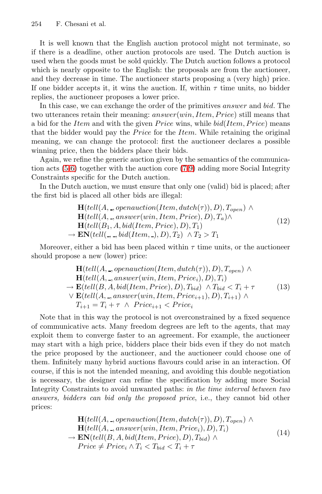It is well known that the English auction protocol might not terminate, so if there is a deadline, other auction protocols are used. The Dutch auction is used when the goods must be sold quickly. The Dutch auction follows a protocol which is nearly opposite to the English: the proposals are from the auctioneer, and they decrease in time. The auctioneer starts proposing a (very high) price. If one bidder accepts it, it wins the auction. If, within  $\tau$  time units, no bidder replies, the auctioneer proposes a lower price.

In this case, we can exchange the order of the primitives answer and bid. The two utterances retain their meaning: *answer(win, Item, Price)* still means that a bid for the Item and with the given Price wins, while  $bid(Item, Price)$  means that the bidder would pay the Price for the Item. While retaining the original meaning, we can change the protocol: first the auctioneer declares a possible winning price, then the bidders place their bids.

Again, we refine the generic auction given by the semantics of the communication acts [\(5](#page-8-0)[-6\)](#page-9-0) together with the auction core [\(7](#page-10-0)[-9\)](#page-10-1) adding more Social Integrity Constraints specific for the Dutch auction.

In the Dutch auction, we must ensure that only one (valid) bid is placed; after the first bid is placed all other bids are illegal:

$$
\mathbf{H}(tell(A, \_, operation(Item, dutch(\tau)), D), T_{open}) \land \n\mathbf{H}(tell(A, \_, answer(win, Item, Price), D), T_a) \land \n\mathbf{H}(tell(B_1, A, bid(Item, Price), D), T_1) \rightarrow \mathbf{EN}(tell(\_, \_, bid(Item, \_)), T_2) \land T_2 > T_1
$$
\n(12)

Moreover, either a bid has been placed within  $\tau$  time units, or the auctioneer should propose a new (lower) price:

$$
\mathbf{H}(tell(A, -, open auction(Item, dutch(\tau)), D), T_{open}) \land \n\mathbf{H}(tell(A, -, answer(win, Item, Price_i), D), T_i) \n\rightarrow \mathbf{E}(tell(B, A, bid(Item, Price), D), T_{bid}) \land T_{bid} < T_i + \tau \n\lor \mathbf{E}( tell(A, -, answer(win, Item, Price_{i+1}), D), T_{i+1}) \land \nT_{i+1} = T_i + \tau \land Price_{i+1} < Price_i
$$
\n(13)

Note that in this way the protocol is not overconstrained by a fixed sequence of communicative acts. Many freedom degrees are left to the agents, that may exploit them to converge faster to an agreement. For example, the auctioneer may start with a high price, bidders place their bids even if they do not match the price proposed by the auctioneer, and the auctioneer could choose one of them. Infinitely many hybrid auctions flavours could arise in an interaction. Of course, if this is not the intended meaning, and avoiding this double negotiation is necessary, the designer can refine the specification by adding more Social Integrity Constraints to avoid unwanted paths: in the time interval between two answers, bidders can bid only the proposed price, i.e., they cannot bid other prices:

$$
\mathbf{H}(tell(A, \_, operation(Item, dutch(\tau)), D), T_{open}) \land \n\mathbf{H}(tell(A, \_, answer(win, Item, Price_i), D), T_i) \n\rightarrow \mathbf{EN}(tell(B, A, bid(Item, Price), D), T_{bid}) \land \nPrice \neq Price_i \land T_i < T_{bid} < T_i + \tau
$$
\n(14)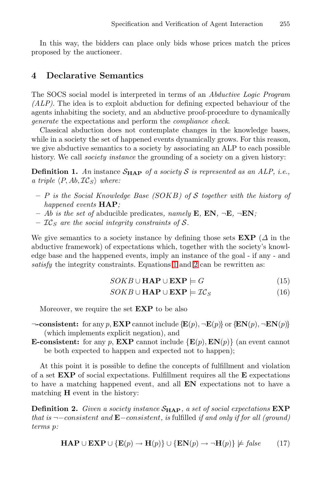In this way, the bidders can place only bids whose prices match the prices proposed by the auctioneer.

#### <span id="page-12-0"></span>**4 Declarative Semantics**

The SOCS social model is interpreted in terms of an Abductive Logic Program (ALP). The idea is to exploit abduction for defining expected behaviour of the agents inhabiting the society, and an abductive proof-procedure to dynamically generate the expectations and perform the compliance check.

Classical abduction does not contemplate changes in the knowledge bases, while in a society the set of happened events dynamically grows. For this reason, we give abductive semantics to a society by associating an ALP to each possible history. We call *society instance* the grounding of a society on a given history:

**Definition 1.** An instance  $\mathcal{S}_{\text{HAP}}$  of a society S is represented as an ALP, i.e., a triple  $\langle P, Ab, \mathcal{IC}_S \rangle$  where:

- **–** P is the Social Knowledge Base (SOKB) of S together with the history of happened events **HAP**;
- **–** Ab is the set of abducible predicates, namely **E**, **EN**, ¬**E**, ¬**EN**;
- $-IC<sub>S</sub>$  are the social integrity constraints of S.

We give semantics to a society instance by defining those sets  $\mathbf{EXP}(\Delta)$  in the abductive framework) of expectations which, together with the society's knowledge base and the happened events, imply an instance of the goal - if any - and satisfy the integrity constraints. Equations [1](#page-3-0) and [2](#page-3-0) can be rewritten as:

$$
SOKB \cup \mathbf{HAP} \cup \mathbf{EXP} \models G \tag{15}
$$

$$
SOKB \cup \mathbf{HAP} \cup \mathbf{EXP} \models \mathcal{IC}_S \tag{16}
$$

Moreover, we require the set **EXP** to be also

- $\neg$ **-consistent:** for any p, **EXP** cannot include {**E**(p),  $\neg$ **E**(p)} or {**EN**(p),  $\neg$ **EN**(p)} (which implements explicit negation), and
- **E-consistent:** for any p, **EXP** cannot include  $\{E(p), EN(p)\}$  (an event cannot be both expected to happen and expected not to happen);

At this point it is possible to define the concepts of fulfillment and violation of a set **EXP** of social expectations. Fulfillment requires all the **E** expectations to have a matching happened event, and all **EN** expectations not to have a matching **H** event in the history:

**Definition 2.** Given a society instance  $S_{\text{HAP}}$ , a set of social expectations  $EXP$ that is ¬−consistent and **E**−consistent, is fulfilled if and only if for all (ground) terms p:

$$
\mathbf{HAP} \cup \mathbf{EXP} \cup \{\mathbf{E}(p) \to \mathbf{H}(p)\} \cup \{\mathbf{EN}(p) \to \neg \mathbf{H}(p)\} \not\models \mathit{false} \tag{17}
$$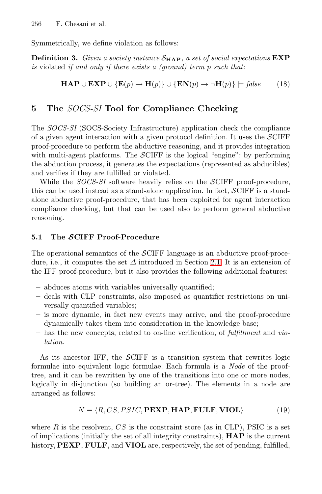Symmetrically, we define violation as follows:

**Definition 3.** Given a society instance  $S_{\text{HAP}}$ , a set of social expectations  $EXP$ is violated if and only if there exists a (ground) term p such that:

$$
\mathbf{HAP} \cup \mathbf{EXP} \cup \{\mathbf{E}(p) \to \mathbf{H}(p)\} \cup \{\mathbf{EN}(p) \to \neg \mathbf{H}(p)\} \models \mathit{false} \tag{18}
$$

## <span id="page-13-0"></span>**5 The** SOCS-SI **Tool for Compliance Checking**

The SOCS-SI (SOCS-Society Infrastructure) application check the compliance of a given agent interaction with a given protocol definition. It uses the SCIFF proof-procedure to perform the abductive reasoning, and it provides integration with multi-agent platforms. The  $\mathcal{S}CIFF$  is the logical "engine": by performing the abduction process, it generates the expectations (represented as abducibles) and verifies if they are fulfilled or violated.

While the *SOCS-SI* software heavily relies on the *SCIFF* proof-procedure, this can be used instead as a stand-alone application. In fact, SCIFF is a standalone abductive proof-procedure, that has been exploited for agent interaction compliance checking, but that can be used also to perform general abductive reasoning.

#### **5.1 The** *S***CIFF Proof-Procedure**

The operational semantics of the SCIFF language is an abductive proof-procedure, i.e., it computes the set  $\Delta$  introduced in Section [2.1.](#page-3-1) It is an extension of the IFF proof-procedure, but it also provides the following additional features:

- **–** abduces atoms with variables universally quantified;
- **–** deals with CLP constraints, also imposed as quantifier restrictions on universally quantified variables;
- **–** is more dynamic, in fact new events may arrive, and the proof-procedure dynamically takes them into consideration in the knowledge base;
- **–** has the new concepts, related to on-line verification, of fulfillment and violation.

As its ancestor IFF, the SCIFF is a transition system that rewrites logic formulae into equivalent logic formulae. Each formula is a Node of the prooftree, and it can be rewritten by one of the transitions into one or more nodes, logically in disjunction (so building an or-tree). The elements in a node are arranged as follows:

$$
N \equiv \langle R, CS, PSIC, PEXP, HAP, FULE, VIOL \rangle
$$
 (19)

<span id="page-13-1"></span>where  $R$  is the resolvent,  $CS$  is the constraint store (as in CLP), PSIC is a set of implications (initially the set of all integrity constraints), **HAP** is the current history, **PEXP**, **FULF**, and **VIOL** are, respectively, the set of pending, fulfilled,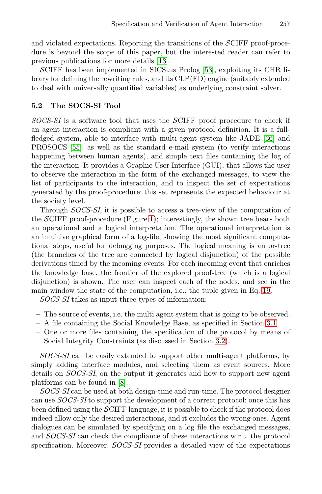and violated expectations. Reporting the transitions of the SCIFF proof-procedure is beyond the scope of this paper, but the interested reader can refer to previous publications for more details [\[13\]](#page-19-8).

SCIFF has been implemented in SICStus Prolog [\[53\]](#page-21-0), exploiting its CHR library for defining the rewriting rules, and its CLP(FD) engine (suitably extended to deal with universally quantified variables) as underlying constraint solver.

#### **5.2 The SOCS-SI Tool**

SOCS-SI is a software tool that uses the SCIFF proof procedure to check if an agent interaction is compliant with a given protocol definition. It is a fullfledged system, able to interface with multi-agent system like JADE [\[36\]](#page-20-15) and PROSOCS [\[55\]](#page-21-5), as well as the standard e-mail system (to verify interactions happening between human agents), and simple text files containing the log of the interaction. It provides a Graphic User Interface (GUI), that allows the user to observe the interaction in the form of the exchanged messages, to view the list of participants to the interaction, and to inspect the set of expectations generated by the proof-procedure: this set represents the expected behaviour at the society level.

Through SOCS-SI, it is possible to access a tree-view of the computation of the  $\mathcal{S}$ CIFF proof-procedure (Figure [1\)](#page-15-0); interestingly, the shown tree bears both an operational and a logical interpretation. The operational interpretation is an intuitive graphical form of a log-file, showing the most significant computational steps, useful for debugging purposes. The logical meaning is an or-tree (the branches of the tree are connected by logical disjunction) of the possible derivations timed by the incoming events. For each incoming event that enriches the knowledge base, the frontier of the explored proof-tree (which is a logical disjunction) is shown. The user can inspect each of the nodes, and see in the main window the state of the computation, i.e., the tuple given in Eq. [19.](#page-13-1)

SOCS-SI takes as input three types of information:

- **–** The source of events, i.e. the multi agent system that is going to be observed.
- **–** A file containing the Social Knowledge Base, as specified in Section [3.1.](#page-6-0)
- **–** One or more files containing the specification of the protocol by means of Social Integrity Constraints (as discussed in Section [3.2\)](#page-7-0).

SOCS-SI can be easily extended to support other multi-agent platforms, by simply adding interface modules, and selecting them as event sources. More details on SOCS-SI, on the output it generates and how to support new agent platforms can be found in [\[8\]](#page-18-2).

SOCS-SI can be used at both design-time and run-time. The protocol designer can use SOCS-SI to support the development of a correct protocol: once this has been defined using the SCIFF language, it is possible to check if the protocol does indeed allow only the desired interactions, and it excludes the wrong ones. Agent dialogues can be simulated by specifying on a log file the exchanged messages, and SOCS-SI can check the compliance of these interactions w.r.t. the protocol specification. Moreover, *SOCS-SI* provides a detailed view of the expectations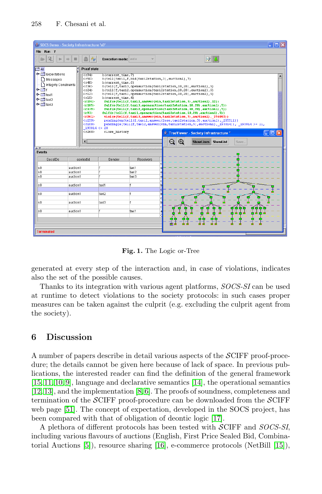| $\Box$ $\Box$ $\times$<br>SOCS Demo - Society Infrastructure 's0'                                                                                                                                                                                                                                                                                                                                                                                                                                                                                                                                                                                                                                                                                                                                                                                                                                                                                                                                                                                                                                                                                                                                                                                                                                                                                                |           |                             |           |  |                                 |                                                           |      |           |
|------------------------------------------------------------------------------------------------------------------------------------------------------------------------------------------------------------------------------------------------------------------------------------------------------------------------------------------------------------------------------------------------------------------------------------------------------------------------------------------------------------------------------------------------------------------------------------------------------------------------------------------------------------------------------------------------------------------------------------------------------------------------------------------------------------------------------------------------------------------------------------------------------------------------------------------------------------------------------------------------------------------------------------------------------------------------------------------------------------------------------------------------------------------------------------------------------------------------------------------------------------------------------------------------------------------------------------------------------------------|-----------|-----------------------------|-----------|--|---------------------------------|-----------------------------------------------------------|------|-----------|
| File Run ?                                                                                                                                                                                                                                                                                                                                                                                                                                                                                                                                                                                                                                                                                                                                                                                                                                                                                                                                                                                                                                                                                                                                                                                                                                                                                                                                                       |           |                             |           |  |                                 |                                                           |      |           |
| 圖<br><b>GB</b>                                                                                                                                                                                                                                                                                                                                                                                                                                                                                                                                                                                                                                                                                                                                                                                                                                                                                                                                                                                                                                                                                                                                                                                                                                                                                                                                                   | Òø        | <b>Execution mode: auto</b> |           |  |                                 | 郾                                                         |      |           |
| $\Box$ All<br>Proof state                                                                                                                                                                                                                                                                                                                                                                                                                                                                                                                                                                                                                                                                                                                                                                                                                                                                                                                                                                                                                                                                                                                                                                                                                                                                                                                                        |           |                             |           |  |                                 |                                                           |      |           |
| <b>C</b> F Expectations<br>$<$ c94><br>h(current time, 7)<br>h(tell(taxil,f,bid(taxi2station,3),auction1),7)<br>$<$ c50><br>Messages<br>$<$ c48><br>h(current time, 6)<br>Integrity Constraints<br>h(tell(f,taxi3,openauction(taxi2station,10,20),auction1),5)<br>$<$ c36><br>$\bullet$ m $\prime$<br>h(tell(f,taxi2,openauction(taxi2station,10,20),auction1),5)<br><< 24<br>h(tell(f,taxil,openauction(taxi2station,10,20),auction1),5)<br>$<$ c12><br>$\bullet$ $\Box$ taxi1<br>$<$ c $10$<br>h(current time, 4)<br>$\bullet$ $\Box$ taxi2<br>$c194>$<br>fulf(e(tell(f,taxi1,answer(win,taxi2station,3),auction1),12))<br>$\bullet$ $\Box$ taxi3<br>$c185$<br>fulf(e(tell(f,taxi3,openauction(taxi2station,10,20),auction1),5))<br><c139><br/>fulf(e(tell(f,taxi2,openauction(taxi2station,10,20),auction1),5))<br/><math>93</math><br/>fulf(e(tell(f,taxi1,openauction(taxi2station,10,20),auction1),5))<br/><c261<br>viol(e(tell(f,taxi3,answer(win,taxi2station,7),auction1), 256002))<br/>pending(en(tell(f,taxil,answer(lose,taxi2station,3),auctionl), 205511))<br/><math>&lt;</math>c259&gt;<br/>pending(e(tell(f,taxi2,answer(win,taxi2station,5),auctionl), 193014)), 193014 &gt;= 11,<br/><math>c109</math><br/><math>193014 \le 20</math><br/>close history<br/><math>&lt;</math>c260&gt;<br/><math>\overline{\phantom{a}}</math></c261<br></c139> |           |                             |           |  | $_{\oplus}$<br><b>ShowLines</b> | E TreeViewer - Society Infrastructure"<br><b>ShowList</b> | Save | $\Box$ ok |
| $\blacktriangleright$ $\blacktriangleright$ converse concernance converse concernance converse concernance converse concernance<br><b>Fvents</b>                                                                                                                                                                                                                                                                                                                                                                                                                                                                                                                                                                                                                                                                                                                                                                                                                                                                                                                                                                                                                                                                                                                                                                                                                 |           |                             |           |  |                                 |                                                           |      |           |
| SocsiDs                                                                                                                                                                                                                                                                                                                                                                                                                                                                                                                                                                                                                                                                                                                                                                                                                                                                                                                                                                                                                                                                                                                                                                                                                                                                                                                                                          | contextId | Sender                      | Receivers |  |                                 |                                                           |      |           |
| s0<br>auction1                                                                                                                                                                                                                                                                                                                                                                                                                                                                                                                                                                                                                                                                                                                                                                                                                                                                                                                                                                                                                                                                                                                                                                                                                                                                                                                                                   |           |                             | taxi1     |  |                                 |                                                           |      |           |
| s0 <br>auction1                                                                                                                                                                                                                                                                                                                                                                                                                                                                                                                                                                                                                                                                                                                                                                                                                                                                                                                                                                                                                                                                                                                                                                                                                                                                                                                                                  |           |                             | taxi2     |  |                                 |                                                           |      |           |
| s0<br>auction1                                                                                                                                                                                                                                                                                                                                                                                                                                                                                                                                                                                                                                                                                                                                                                                                                                                                                                                                                                                                                                                                                                                                                                                                                                                                                                                                                   |           |                             | taxi3     |  |                                 |                                                           |      |           |
| sū<br>auction1                                                                                                                                                                                                                                                                                                                                                                                                                                                                                                                                                                                                                                                                                                                                                                                                                                                                                                                                                                                                                                                                                                                                                                                                                                                                                                                                                   |           | taxi1                       | f         |  |                                 |                                                           |      |           |
| s0<br>auction1                                                                                                                                                                                                                                                                                                                                                                                                                                                                                                                                                                                                                                                                                                                                                                                                                                                                                                                                                                                                                                                                                                                                                                                                                                                                                                                                                   |           | taxi2                       |           |  |                                 |                                                           |      |           |
| s0<br>auction1                                                                                                                                                                                                                                                                                                                                                                                                                                                                                                                                                                                                                                                                                                                                                                                                                                                                                                                                                                                                                                                                                                                                                                                                                                                                                                                                                   |           | taxi3                       |           |  |                                 |                                                           |      |           |
| sO<br>auction1                                                                                                                                                                                                                                                                                                                                                                                                                                                                                                                                                                                                                                                                                                                                                                                                                                                                                                                                                                                                                                                                                                                                                                                                                                                                                                                                                   | I۴        |                             | taxi1     |  |                                 |                                                           |      |           |
| <b>Terminated</b>                                                                                                                                                                                                                                                                                                                                                                                                                                                                                                                                                                                                                                                                                                                                                                                                                                                                                                                                                                                                                                                                                                                                                                                                                                                                                                                                                |           |                             |           |  |                                 |                                                           |      |           |

<span id="page-15-0"></span>**Fig. 1.** The Logic or-Tree

generated at every step of the interaction and, in case of violations, indicates also the set of the possible causes.

Thanks to its integration with various agent platforms, SOCS-SI can be used at runtime to detect violations to the society protocols: in such cases proper measures can be taken against the culprit (e.g. excluding the culprit agent from the society).

## **6 Discussion**

A number of papers describe in detail various aspects of the SCIFF proof-procedure; the details cannot be given here because of lack of space. In previous publications, the interested reader can find the definition of the general framework [\[15,](#page-19-9) [11,](#page-18-3) [10,](#page-18-1) [9\]](#page-18-4), language and declarative semantics [\[14\]](#page-19-10), the operational semantics [\[12,](#page-19-11) [13\]](#page-19-8), and the implementation [\[8,](#page-18-2) [6\]](#page-18-5). The proofs of soundness, completeness and termination of the SCIFF proof-procedure can be downloaded from the SCIFF web page [\[51\]](#page-21-6). The concept of expectation, developed in the SOCS project, has been compared with that of obligation of deontic logic [\[17\]](#page-19-12).

A plethora of different protocols has been tested with SCIFF and SOCS-SI, including various flavours of auctions (English, First Price Sealed Bid, Combinatorial Auctions [\[5\]](#page-18-6)), resource sharing [\[16\]](#page-19-13), e-commerce protocols (NetBill [\[15\]](#page-19-9)),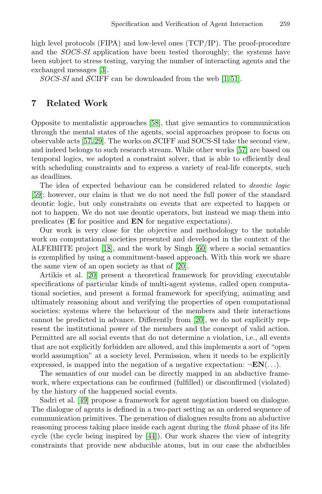high level protocols (FIPA) and low-level ones (TCP/IP). The proof-procedure and the SOCS-SI application have been tested thoroughly; the systems have been subject to stress testing, varying the number of interacting agents and the exchanged messages [\[3\]](#page-18-7).

SOCS-SI and SCIFF can be downloaded from the web [\[1,](#page-18-8) [51\]](#page-21-6).

## **7 Related Work**

Opposite to mentalistic approaches [\[58\]](#page-21-1), that give semantics to communication through the mental states of the agents, social approaches propose to focus on observable acts [\[57,](#page-21-2) [29\]](#page-19-5). The works on SCIFF and SOCS-SI take the second view, and indeed belongs to such research stream. While other works [\[57\]](#page-21-2) are based on temporal logics, we adopted a constraint solver, that is able to efficiently deal with scheduling constraints and to express a variety of real-life concepts, such as deadlines.

The idea of expected behaviour can be considered related to deontic logic [\[59\]](#page-21-7); however, our claim is that we do not need the full power of the standard deontic logic, but only constraints on events that are expected to happen or not to happen. We do not use deontic operators, but instead we map them into predicates (**E** for positive and **EN** for negative expectations).

Our work is very close for the objective and methodology to the notable work on computational societies presented and developed in the context of the ALFEBIITE project [\[18\]](#page-19-14), and the work by Singh [\[60\]](#page-21-8) where a social semantics is exemplified by using a commitment-based approach. With this work we share the same view of an open society as that of [\[20\]](#page-19-15).

Artikis et al. [\[20\]](#page-19-15) present a theoretical framework for providing executable specifications of particular kinds of multi-agent systems, called open computational societies, and present a formal framework for specifying, animating and ultimately reasoning about and verifying the properties of open computational societies: systems where the behaviour of the members and their interactions cannot be predicted in advance. Differently from [\[20\]](#page-19-15), we do not explicitly represent the institutional power of the members and the concept of valid action. Permitted are all social events that do not determine a violation, i.e., all events that are not explicitly forbidden are allowed, and this implements a sort of "open world assumption" at a society level. Permission, when it needs to be explicitly expressed, is mapped into the negation of a negative expectation:  $\neg EN(\ldots)$ .

The semantics of our model can be directly mapped in an abductive framework, where expectations can be confirmed (fulfilled) or disconfirmed (violated) by the history of the happened social events.

Sadri et al. [\[49\]](#page-20-16) propose a framework for agent negotiation based on dialogue. The dialogue of agents is defined in a two-part setting as an ordered sequence of communication primitives. The generation of dialogues results from an abductive reasoning process taking place inside each agent during the think phase of its life cycle (the cycle being inspired by [\[44\]](#page-20-17)). Our work shares the view of integrity constraints that provide new abducible atoms, but in our case the abducibles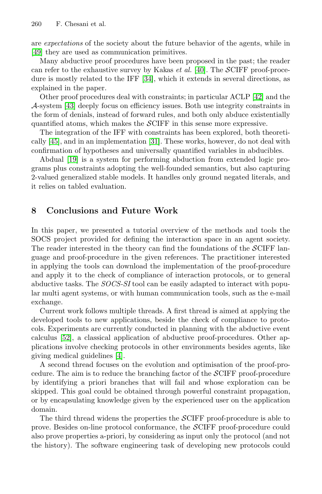are expectations of the society about the future behavior of the agents, while in [\[49\]](#page-20-16) they are used as communication primitives.

Many abductive proof procedures have been proposed in the past; the reader can refer to the exhaustive survey by Kakas *et al.* [\[40\]](#page-20-3). The  $\mathcal{SCIFF}$  proof-procedure is mostly related to the IFF [\[34\]](#page-20-1), which it extends in several directions, as explained in the paper.

Other proof procedures deal with constraints; in particular ACLP [\[42\]](#page-20-5) and the A-system [\[43\]](#page-20-6) deeply focus on efficiency issues. Both use integrity constraints in the form of denials, instead of forward rules, and both only abduce existentially quantified atoms, which makes the SCIFF in this sense more expressive.

The integration of the IFF with constraints has been explored, both theoretically [\[45\]](#page-20-18), and in an implementation [\[31\]](#page-20-19). These works, however, do not deal with confirmation of hypotheses and universally quantified variables in abducibles.

Abdual [\[19\]](#page-19-16) is a system for performing abduction from extended logic programs plus constraints adopting the well-founded semantics, but also capturing 2-valued generalized stable models. It handles only ground negated literals, and it relies on tabled evaluation.

### **8 Conclusions and Future Work**

In this paper, we presented a tutorial overview of the methods and tools the SOCS project provided for defining the interaction space in an agent society. The reader interested in the theory can find the foundations of the SCIFF language and proof-procedure in the given references. The practitioner interested in applying the tools can download the implementation of the proof-procedure and apply it to the check of compliance of interaction protocols, or to general abductive tasks. The *SOCS-SI* tool can be easily adapted to interact with popular multi agent systems, or with human communication tools, such as the e-mail exchange.

Current work follows multiple threads. A first thread is aimed at applying the developed tools to new applications, beside the check of compliance to protocols. Experiments are currently conducted in planning with the abductive event calculus [\[52\]](#page-21-9), a classical application of abductive proof-procedures. Other applications involve checking protocols in other environments besides agents, like giving medical guidelines [\[4\]](#page-18-9).

A second thread focuses on the evolution and optimisation of the proof-procedure. The aim is to reduce the branching factor of the SCIFF proof-procedure by identifying a priori branches that will fail and whose exploration can be skipped. This goal could be obtained through powerful constraint propagation, or by encapsulating knowledge given by the experienced user on the application domain.

The third thread widens the properties the SCIFF proof-procedure is able to prove. Besides on-line protocol conformance, the SCIFF proof-procedure could also prove properties a-priori, by considering as input only the protocol (and not the history). The software engineering task of developing new protocols could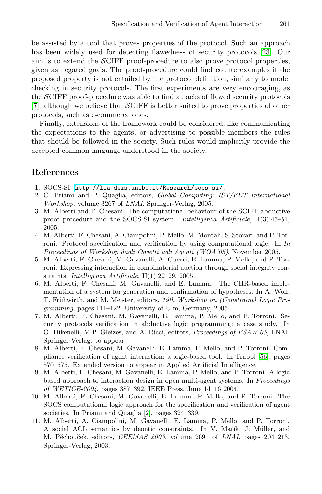be assisted by a tool that proves properties of the protocol. Such an approach has been widely used for detecting flawedness of security protocols [\[23\]](#page-19-7). Our aim is to extend the SCIFF proof-procedure to also prove protocol properties, given as negated goals. The proof-procedure could find counterexamples if the proposed property is not entailed by the protocol definition, similarly to model checking in security protocols. The first experiments are very encouraging, as the SCIFF proof-procedure was able to find attacks of flawed security protocols [\[7\]](#page-18-10), although we believe that SCIFF is better suited to prove properties of other protocols, such as e-commerce ones.

Finally, extensions of the framework could be considered, like communicating the expectations to the agents, or advertising to possible members the rules that should be followed in the society. Such rules would implicitly provide the accepted common language understood in the society.

### <span id="page-18-11"></span><span id="page-18-8"></span><span id="page-18-0"></span>**References**

- 1. SOCS-SI. [http://lia.deis.unibo.it/Research/socs\\_si/](http://lia.deis.unibo.it/Research/socs_si/).
- 2. C. Priami and P. Quaglia, editors, Global Computing: IST/FET International Workshop, volume 3267 of LNAI. Springer-Verlag, 2005.
- <span id="page-18-7"></span>3. M. Alberti and F. Chesani. The computational behaviour of the SCIFF abductive proof procedure and the SOCS-SI system. Intelligenza Artificiale, II(3):45–51, 2005.
- <span id="page-18-9"></span>4. M. Alberti, F. Chesani, A. Ciampolini, P. Mello, M. Montali, S. Storari, and P. Torroni. Protocol specification and verification by using computational logic. In  $In$ Proceedings of Workshop dagli Oggetti agli Agenti (WOA'05), November 2005.
- <span id="page-18-6"></span>5. M. Alberti, F. Chesani, M. Gavanelli, A. Guerri, E. Lamma, P. Mello, and P. Torroni. Expressing interaction in combinatorial auction through social integrity constraints. Intelligenza Artificiale, II(1):22–29, 2005.
- <span id="page-18-5"></span>6. M. Alberti, F. Chesani, M. Gavanelli, and E. Lamma. The CHR-based implementation of a system for generation and confirmation of hypotheses. In A. Wolf, T. Frühwirth, and M. Meister, editors, 19th Workshop on (Constraint) Logic Programming, pages 111–122, University of Ulm, Germany, 2005.
- <span id="page-18-10"></span>7. M. Alberti, F. Chesani, M. Gavanelli, E. Lamma, P. Mello, and P. Torroni. Security protocols verification in abductive logic programming: a case study. In O. Dikenelli, M.P. Gleizes, and A. Ricci, editors, Proceedings of ESAW'05, LNAI. Springer Verlag. to appear.
- <span id="page-18-2"></span>8. M. Alberti, F. Chesani, M. Gavanelli, E. Lamma, P. Mello, and P. Torroni. Compliance verification of agent interaction: a logic-based tool. In Trappl [\[56\]](#page-21-10), pages 570–575. Extended version to appear in Applied Artificial Intelligence.
- <span id="page-18-4"></span>9. M. Alberti, F. Chesani, M. Gavanelli, E. Lamma, P. Mello, and P. Torroni. A logic based approach to interaction design in open multi-agent systems. In Proceedings of WETICE-2004, pages 387–392. IEEE Press, June 14–16 2004.
- <span id="page-18-1"></span>10. M. Alberti, F. Chesani, M. Gavanelli, E. Lamma, P. Mello, and P. Torroni. The SOCS computational logic approach for the specification and verification of agent societies. In Priami and Quaglia [\[2\]](#page-18-11), pages 324–339.
- <span id="page-18-3"></span>11. M. Alberti, A. Ciampolini, M. Gavanelli, E. Lamma, P. Mello, and P. Torroni. A social ACL semantics by deontic constraints. In V. Martik, J. Müller, and M. Pěchouček, editors, CEEMAS 2003, volume 2691 of LNAI, pages 204–213. Springer-Verlag, 2003.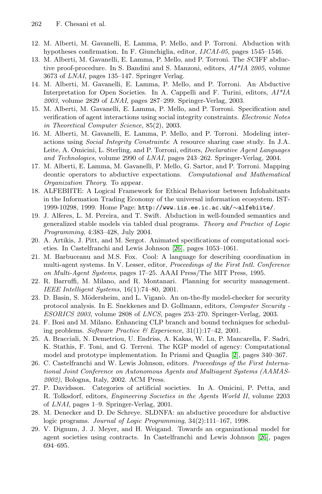- <span id="page-19-11"></span><span id="page-19-8"></span>12. M. Alberti, M. Gavanelli, E. Lamma, P. Mello, and P. Torroni. Abduction with hypotheses confirmation. In F. Giunchiglia, editor, IJCAI-05, pages 1545–1546.
- 13. M. Alberti, M. Gavanelli, E. Lamma, P. Mello, and P. Torroni. The SCIFF abductive proof-procedure. In S. Bandini and S. Manzoni, editors, AI\*IA 2005, volume 3673 of LNAI, pages 135–147. Springer Verlag.
- <span id="page-19-10"></span>14. M. Alberti, M. Gavanelli, E. Lamma, P. Mello, and P. Torroni. An Abductive Interpretation for Open Societies. In A. Cappelli and F. Turini, editors, AI\*IA 2003, volume 2829 of LNAI, pages 287–299. Springer-Verlag, 2003.
- <span id="page-19-9"></span>15. M. Alberti, M. Gavanelli, E. Lamma, P. Mello, and P. Torroni. Specification and verification of agent interactions using social integrity constraints. Electronic Notes in Theoretical Computer Science, 85(2), 2003.
- <span id="page-19-13"></span>16. M. Alberti, M. Gavanelli, E. Lamma, P. Mello, and P. Torroni. Modeling interactions using Social Integrity Constraints: A resource sharing case study. In J.A. Leite, A. Omicini, L. Sterling, and P. Torroni, editors, Declarative Agent Languages and Technologies, volume 2990 of LNAI, pages 243–262. Springer-Verlag, 2004.
- <span id="page-19-12"></span>17. M. Alberti, E. Lamma, M. Gavanelli, P. Mello, G. Sartor, and P. Torroni. Mapping deontic operators to abductive expectations. Computational and Mathematical Organization Theory. To appear.
- <span id="page-19-14"></span>18. ALFEBIITE: A Logical Framework for Ethical Behaviour between Infohabitants in the Information Trading Economy of the universal information ecosystem. IST-1999-10298, 1999. Home Page: http://www.iis.ee.ic.ac.uk/∼alfebiite/.
- <span id="page-19-16"></span>19. J. Alferes, L. M. Pereira, and T. Swift. Abduction in well-founded semantics and generalized stable models via tabled dual programs. Theory and Practice of Logic Programming, 4:383–428, July 2004.
- <span id="page-19-15"></span>20. A. Artikis, J. Pitt, and M. Sergot. Animated specifications of computational societies. In Castelfranchi and Lewis Johnson [\[26\]](#page-19-17), pages 1053–1061.
- <span id="page-19-6"></span>21. M. Barbuceanu and M.S. Fox. Cool: A language for describing coordination in multi-agent systems. In V. Lesser, editor, Proceedings of the First Intl. Conference on Multi-Agent Systems, pages 17–25. AAAI Press/The MIT Press, 1995.
- <span id="page-19-4"></span>22. R. Barruffi, M. Milano, and R. Montanari. Planning for security management. IEEE Intelligent Systems, 16(1):74–80, 2001.
- <span id="page-19-7"></span>23. D. Basin, S. Mödersheim, and L. Viganò. An on-the-fly model-checker for security protocol analysis. In E. Snekkenes and D. Gollmann, editors, Computer Security - ESORICS 2003, volume 2808 of LNCS, pages 253–270. Springer-Verlag, 2003.
- <span id="page-19-3"></span>24. F. Bosi and M. Milano. Enhancing CLP branch and bound techniques for scheduling problems. Software Practice & Experience,  $31(1):17-42$ ,  $2001$ .
- <span id="page-19-1"></span>25. A. Bracciali, N. Demetriou, U. Endriss, A. Kakas, W. Lu, P. Mancarella, F. Sadri, K. Stathis, F. Toni, and G. Terreni. The KGP model of agency: Computational model and prototype implementation. In Priami and Quaglia [\[2\]](#page-18-11), pages 340–367.
- <span id="page-19-17"></span>26. C. Castelfranchi and W. Lewis Johnson, editors. Proceedings of the First International Joint Conference on Autonomous Agents and Multiagent Systems (AAMAS-2002), Bologna, Italy, 2002. ACM Press.
- <span id="page-19-0"></span>27. P. Davidsson. Categories of artificial societies. In A. Omicini, P. Petta, and R. Tolksdorf, editors, Engineering Societies in the Agents World II, volume 2203 of LNAI, pages 1–9. Springer-Verlag, 2001.
- <span id="page-19-2"></span>28. M. Denecker and D. De Schreye. SLDNFA: an abductive procedure for abductive logic programs. Journal of Logic Programming, 34(2):111–167, 1998.
- <span id="page-19-5"></span>29. V. Dignum, J. J. Meyer, and H. Weigand. Towards an organizational model for agent societies using contracts. In Castelfranchi and Lewis Johnson [\[26\]](#page-19-17), pages 694–695.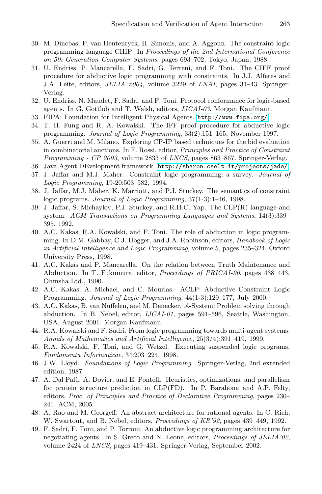- <span id="page-20-10"></span>30. M. Dincbas, P. van Hentenryck, H. Simonis, and A. Aggoun. The constraint logic programming language CHIP. In Proceedings of the 2nd International Conference on 5th Generation Computer Systems, pages 693–702, Tokyo, Japan, 1988.
- <span id="page-20-19"></span>31. U. Endriss, P. Mancarella, F. Sadri, G. Terreni, and F. Toni. The CIFF proof procedure for abductive logic programming with constraints. In J.J. Alferes and J.A. Leite, editors, JELIA 2004, volume 3229 of LNAI, pages 31–43. Springer-Verlag.
- <span id="page-20-12"></span><span id="page-20-0"></span>32. U. Endriss, N. Maudet, F. Sadri, and F. Toni. Protocol conformance for logic-based agents. In G. Gottlob and T. Walsh, editors, IJCAI-03. Morgan Kaufmann.
- <span id="page-20-1"></span>33. FIPA: Foundation for Intelligent Physical Agents. <http://www.fipa.org/>.
- 34. T. H. Fung and R. A. Kowalski. The IFF proof procedure for abductive logic programming. Journal of Logic Programming, 33(2):151–165, November 1997.
- <span id="page-20-14"></span>35. A. Guerri and M. Milano. Exploring CP-IP based techniques for the bid evaluation in combinatorial auctions. In F. Rossi, editor, Principles and Practice of Constraint Programming - CP 2003, volume 2833 of LNCS, pages 863–867. Springer-Verlag.
- <span id="page-20-15"></span><span id="page-20-7"></span>36. Java Agent DEvelopment framework. <http://sharon.cselt.it/projects/jade/>.
- 37. J. Jaffar and M.J. Maher. Constraint logic programming: a survey. Journal of Logic Programming, 19-20:503–582, 1994.
- <span id="page-20-8"></span>38. J. Jaffar, M.J. Maher, K. Marriott, and P.J. Stuckey. The semantics of constraint logic programs. Journal of Logic Programming, 37(1-3):1–46, 1998.
- <span id="page-20-9"></span>39. J. Jaffar, S. Michaylov, P.J. Stuckey, and R.H.C. Yap. The CLP(R) language and system. ACM Transactions on Programming Languages and Systems, 14(3):339– 395, 1992.
- <span id="page-20-3"></span>40. A.C. Kakas, R.A. Kowalski, and F. Toni. The role of abduction in logic programming. In D.M. Gabbay, C.J. Hogger, and J.A. Robinson, editors, Handbook of Logic in Artificial Intelligence and Logic Programming, volume 5, pages 235–324. Oxford University Press, 1998.
- <span id="page-20-4"></span>41. A.C. Kakas and P. Mancarella. On the relation between Truth Maintenance and Abduction. In T. Fukumura, editor, Proceedings of PRICAI-90, pages 438–443. Ohmsha Ltd., 1990.
- <span id="page-20-5"></span>42. A.C. Kakas, A. Michael, and C. Mourlas. ACLP: Abductive Constraint Logic Programming. Journal of Logic Programming, 44(1-3):129–177, July 2000.
- <span id="page-20-6"></span>43. A.C. Kakas, B. van Nuffelen, and M. Denecker. A-System: Problem solving through abduction. In B. Nebel, editor, IJCAI-01, pages 591–596, Seattle, Washington, USA, August 2001. Morgan Kaufmann.
- <span id="page-20-17"></span>44. R.A. Kowalski and F. Sadri. From logic programming towards multi-agent systems. Annals of Mathematics and Artificial Intelligence, 25(3/4):391–419, 1999.
- <span id="page-20-18"></span>45. R.A. Kowalski, F. Toni, and G. Wetzel. Executing suspended logic programs. Fundamenta Informaticae, 34:203–224, 1998.
- <span id="page-20-2"></span>46. J.W. Lloyd. Foundations of Logic Programming. Springer-Verlag, 2nd extended edition, 1987.
- <span id="page-20-11"></span>47. A. Dal Palù, A. Dovier, and E. Pontelli. Heuristics, optimizations, and parallelism for protein structure prediction in CLP(FD). In P. Barahona and A.P. Felty, editors, Proc. of Principles and Practice of Declarative Programming, pages 230– 241. ACM, 2005.
- <span id="page-20-13"></span>48. A. Rao and M. Georgeff. An abstract architecture for rational agents. In C. Rich, W. Swartout, and B. Nebel, editors, *Proceedings of KR'92*, pages 439–449, 1992.
- <span id="page-20-16"></span>49. F. Sadri, F. Toni, and P. Torroni. An abductive logic programming architecture for negotiating agents. In S. Greco and N. Leone, editors, Proceedings of JELIA'02, volume 2424 of LNCS, pages 419–431. Springer-Verlag, September 2002.